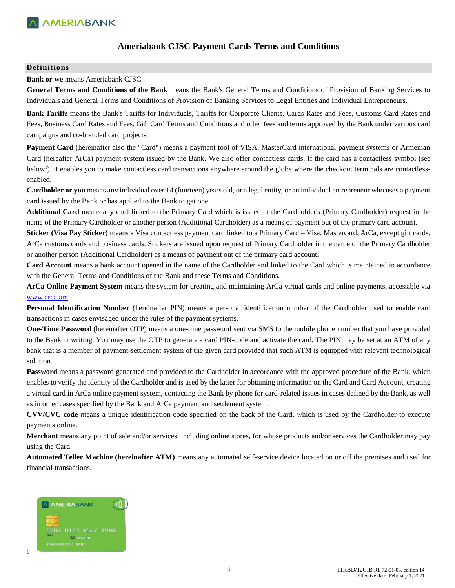

### **Ameriabank CJSC Payment Cards Terms and Conditions**

#### **Definitions**

**Bank or we** means Ameriabank CJSC.

**General Terms and Conditions of the Bank** means the Bank's General Terms and Conditions of Provision of Banking Services to Individuals and General Terms and Conditions of Provision of Banking Services to Legal Entities and Individual Entrepreneurs.

**Bank Tariffs** means the Bank's Tariffs for Individuals, Tariffs for Corporate Clients, Cards Rates and Fees, Customs Card Rates and Fees, Business Card Rates and Fees, Gift Card Terms and Conditions and other fees and terms approved by the Bank under various card campaigns and co-branded card projects.

**Payment Card** (hereinafter also the "Card") means a payment tool of VISA, MasterCard international payment systems or Armenian Card (hereafter ArCa) payment system issued by the Bank. We also offer contactless cards. If the card has a contactless symbol (see below<sup>1</sup>), it enables you to make contactless card transactions anywhere around the globe where the checkout terminals are contactlessenabled.

**Cardholder or you** means any individual over 14 (fourteen) years old, or a legal entity, or an individual entrepreneur who uses a payment card issued by the Bank or has applied to the Bank to get one.

**Additional Card** means any card linked to the Primary Card which is issued at the Cardholder's (Primary Cardholder) request in the name of the Primary Cardholder or another person (Additional Cardholder) as a means of payment out of the primary card account.

**Sticker (Visa Pay Sticker)** means a Visa contactless payment card linked to a Primary Card – Visa, Mastercard, ArCa, except gift cards, ArCa customs cards and business cards. Stickers are issued upon request of Primary Cardholder in the name of the Primary Cardholder or another person (Additional Cardholder) as a means of payment out of the primary card account.

**Card Account** means a bank account opened in the name of the Cardholder and linked to the Card which is maintained in accordance with the General Terms and Conditions of the Bank and these Terms and Conditions.

**ArCa Online Payment System** means the system for creating and maintaining ArCa virtual cards and online payments, accessible via [www.arca.am.](http://www.arca.am/) 

**Personal Identification Number** (hereinafter PIN) means a personal identification number of the Cardholder used to enable card transactions in cases envisaged under the rules of the payment systems.

**One-Time Password** (hereinafter OTP) means a one-time password sent via SMS to the mobile phone number that you have provided to the Bank in writing. You may use the OTP to generate a card PIN-code and activate the card. The PIN may be set at an ATM of any bank that is a member of payment-settlement system of the given card provided that such ATM is equipped with relevant technological solution.

**Password** means a password generated and provided to the Cardholder in accordance with the approved procedure of the Bank, which enables to verify the identity of the Cardholder and is used by the latter for obtaining information on the Card and Card Account, creating a virtual card in ArCa online payment system, contacting the Bank by phone for card-related issues in cases defined by the Bank, as well as in other cases specified by the Bank and ArCa payment and settlement system.

**CVV/CVC code** means a unique identification code specified on the back of the Card, which is used by the Cardholder to execute payments online.

**Merchant** means any point of sale and/or services, including online stores, for whose products and/or services the Cardholder may pay using the Card.

**Automated Teller Machine (hereinafter ATM)** means any automated self-service device located on or off the premises and used for financial transactions.



 $\overline{\phantom{a}}$ 

1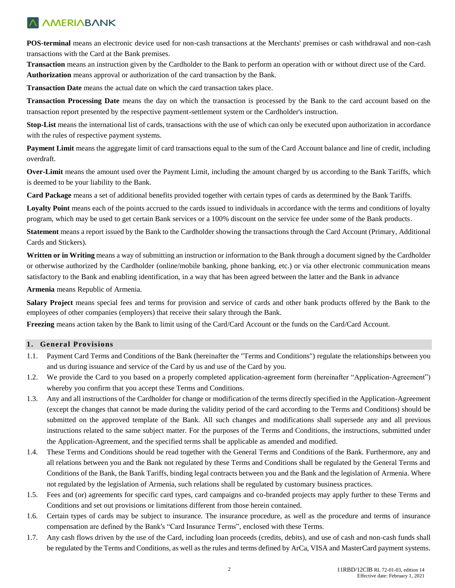# **MAMERIABANK**

**POS-terminal** means an electronic device used for non-cash transactions at the Merchants' premises or cash withdrawal and non-cash transactions with the Card at the Bank premises.

**Transaction** means an instruction given by the Cardholder to the Bank to perform an operation with or without direct use of the Card. **Authorization** means approval or authorization of the card transaction by the Bank.

**Transaction Date** means the actual date on which the card transaction takes place.

**Transaction Processing Date** means the day on which the transaction is processed by the Bank to the card account based on the transaction report presented by the respective payment-settlement system or the Cardholder's instruction.

**Stop-List** means the international list of cards, transactions with the use of which can only be executed upon authorization in accordance with the rules of respective payment systems.

**Payment Limit** means the aggregate limit of card transactions equal to the sum of the Card Account balance and line of credit, including overdraft.

**Over-Limit** means the amount used over the Payment Limit, including the amount charged by us according to the Bank Tariffs, which is deemed to be your liability to the Bank.

**Card Package** means a set of additional benefits provided together with certain types of cards as determined by the Bank Tariffs.

**Loyalty Point** means each of the points accrued to the cards issued to individuals in accordance with the terms and conditions of loyalty program, which may be used to get certain Bank services or a 100% discount on the service fee under some of the Bank products.

**Statement** means a report issued by the Bank to the Cardholder showing the transactions through the Card Account (Primary, Additional Cards and Stickers).

**Written or in Writing** means a way of submitting an instruction or information to the Bank through a document signed by the Cardholder or otherwise authorized by the Cardholder (online/mobile banking, phone banking, etc.) or via other electronic communication means satisfactory to the Bank and enabling identification, in a way that has been agreed between the latter and the Bank in advance

**Armenia** means Republic of Armenia.

**Salary Project** means special fees and terms for provision and service of cards and other bank products offered by the Bank to the employees of other companies (employers) that receive their salary through the Bank.

**Freezing** means action taken by the Bank to limit using of the Card/Card Account or the funds on the Card/Card Account.

### **1. General Provisions**

- 1.1. Payment Card Terms and Conditions of the Bank (hereinafter the "Terms and Conditions") regulate the relationships between you and us during issuance and service of the Card by us and use of the Card by you.
- 1.2. We provide the Card to you based on a properly completed application-agreement form (hereinafter "Application-Agreement") whereby you confirm that you accept these Terms and Conditions.
- 1.3. Any and all instructions of the Cardholder for change or modification of the terms directly specified in the Application-Agreement (except the changes that cannot be made during the validity period of the card according to the Terms and Conditions) should be submitted on the approved template of the Bank. All such changes and modifications shall supersede any and all previous instructions related to the same subject matter. For the purposes of the Terms and Conditions, the instructions, submitted under the Application-Agreement, and the specified terms shall be applicable as amended and modified.
- 1.4. These Terms and Conditions should be read together with the General Terms and Conditions of the Bank. Furthermore, any and all relations between you and the Bank not regulated by these Terms and Conditions shall be regulated by the General Terms and Conditions of the Bank, the Bank Tariffs, binding legal contracts between you and the Bank and the legislation of Armenia. Where not regulated by the legislation of Armenia, such relations shall be regulated by customary business practices.
- 1.5. Fees and (or) agreements for specific card types, card campaigns and co-branded projects may apply further to these Terms and Conditions and set out provisions or limitations different from those herein contained.
- 1.6. Certain types of cards may be subject to insurance. The insurance procedure, as well as the procedure and terms of insurance compensation are defined by the Bank's "Card Insurance Terms", enclosed with these Terms.
- 1.7. Any cash flows driven by the use of the Card, including loan proceeds (credits, debits), and use of cash and non-cash funds shall be regulated by the Terms and Conditions, as well as the rules and terms defined by ArCa, VISA and MasterCard payment systems.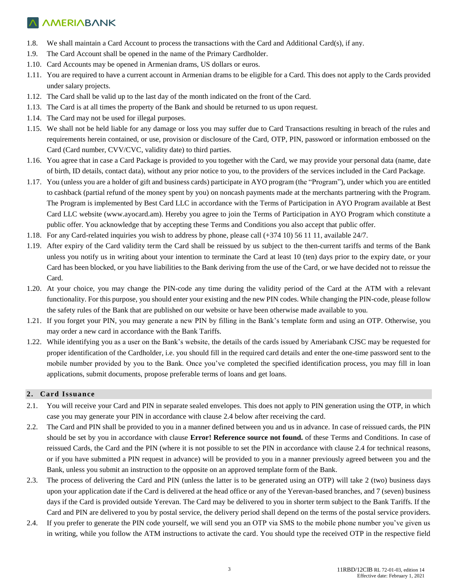- 1.8. We shall maintain a Card Account to process the transactions with the Card and Additional Card(s), if any.
- 1.9. The Card Account shall be opened in the name of the Primary Cardholder.
- 1.10. Card Accounts may be opened in Armenian drams, US dollars or euros.
- 1.11. You are required to have a current account in Armenian drams to be eligible for a Card. This does not apply to the Cards provided under salary projects.
- 1.12. The Card shall be valid up to the last day of the month indicated on the front of the Card.
- 1.13. The Card is at all times the property of the Bank and should be returned to us upon request.
- 1.14. The Card may not be used for illegal purposes.
- 1.15. We shall not be held liable for any damage or loss you may suffer due to Card Transactions resulting in breach of the rules and requirements herein contained, or use, provision or disclosure of the Card, OTP, PIN, password or information embossed on the Card (Card number, CVV/CVC, validity date) to third parties.
- 1.16. You agree that in case a Card Package is provided to you together with the Card, we may provide your personal data (name, date of birth, ID details, contact data), without any prior notice to you, to the providers of the services included in the Card Package.
- 1.17. You (unless you are a holder of gift and business cards) participate in AYO program (the "Program"), under which you are entitled to cashback (partial refund of the money spent by you) on noncash payments made at the merchants partnering with the Program. The Program is implemented by Best Card LLC in accordance with the Terms of Participation in AYO Program available at Best Card LLC website [\(www.ayocard.am\)](http://www.ayocard.am/). Hereby you agree to join the Terms of Participation in AYO Program which constitute a public offer. You acknowledge that by accepting these Terms and Conditions you also accept that public offer.
- 1.18. For any Card-related inquiries you wish to address by phone, please call (+374 10) 56 11 11, available 24/7.
- 1.19. After expiry of the Card validity term the Card shall be reissued by us subject to the then-current tariffs and terms of the Bank unless you notify us in writing about your intention to terminate the Card at least 10 (ten) days prior to the expiry date, or your Card has been blocked, or you have liabilities to the Bank deriving from the use of the Card, or we have decided not to reissue the Card.
- 1.20. At your choice, you may change the PIN-code any time during the validity period of the Card at the ATM with a relevant functionality. For this purpose, you should enter your existing and the new PIN codes. While changing the PIN-code, please follow the safety rules of the Bank that are published on our website or have been otherwise made available to you.
- 1.21. If you forget your PIN, you may generate a new PIN by filling in the Bank's template form and using an OTP. Otherwise, you may order a new card in accordance with the Bank Tariffs.
- 1.22. While identifying you as a user on the Bank's website, the details of the cards issued by Ameriabank CJSC may be requested for proper identification of the Cardholder, i.e. you should fill in the required card details and enter the one-time password sent to the mobile number provided by you to the Bank. Once you've completed the specified identification process, you may fill in loan applications, submit documents, propose preferable terms of loans and get loans.

### **2. Card Issuance**

- 2.1. You will receive your Card and PIN in separate sealed envelopes. This does not apply to PIN generation using the OTP, in which case you may generate your PIN in accordance with clause 2.4 below after receiving the card.
- 2.2. The Card and PIN shall be provided to you in a manner defined between you and us in advance. In case of reissued cards, the PIN should be set by you in accordance with clause **Error! Reference source not found.** of these Terms and Conditions. In case of reissued Cards, the Card and the PIN (where it is not possible to set the PIN in accordance with clause 2.4 for technical reasons, or if you have submitted a PIN request in advance) will be provided to you in a manner previously agreed between you and the Bank, unless you submit an instruction to the opposite on an approved template form of the Bank.
- 2.3. The process of delivering the Card and PIN (unless the latter is to be generated using an OTP) will take 2 (two) business days upon your application date if the Card is delivered at the head office or any of the Yerevan-based branches, and 7 (seven) business days if the Card is provided outside Yerevan. The Card may be delivered to you in shorter term subject to the Bank Tariffs. If the Card and PIN are delivered to you by postal service, the delivery period shall depend on the terms of the postal service providers.
- 2.4. If you prefer to generate the PIN code yourself, we will send you an OTP via SMS to the mobile phone number you've given us in writing, while you follow the ATM instructions to activate the card. You should type the received OTP in the respective field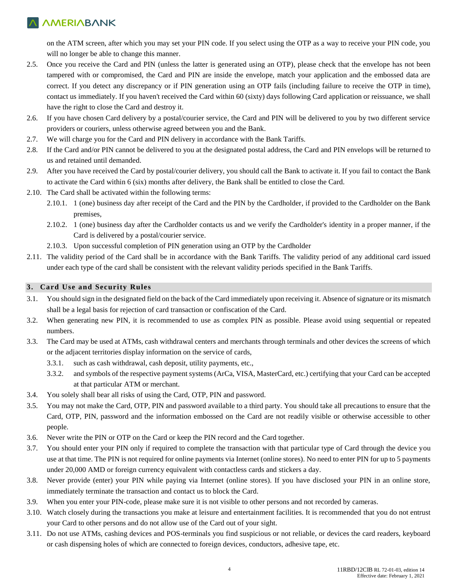### **MAMERIABANK**

on the ATM screen, after which you may set your PIN code. If you select using the OTP as a way to receive your PIN code, you will no longer be able to change this manner.

- 2.5. Once you receive the Card and PIN (unless the latter is generated using an OTP), please check that the envelope has not been tampered with or compromised, the Card and PIN are inside the envelope, match your application and the embossed data are correct. If you detect any discrepancy or if PIN generation using an OTP fails (including failure to receive the OTP in time), contact us immediately. If you haven't received the Card within 60 (sixty) days following Card application or reissuance, we shall have the right to close the Card and destroy it.
- 2.6. If you have chosen Card delivery by a postal/courier service, the Card and PIN will be delivered to you by two different service providers or couriers, unless otherwise agreed between you and the Bank.
- 2.7. We will charge you for the Card and PIN delivery in accordance with the Bank Tariffs.
- 2.8. If the Card and/or PIN cannot be delivered to you at the designated postal address, the Card and PIN envelops will be returned to us and retained until demanded.
- 2.9. After you have received the Card by postal/courier delivery, you should call the Bank to activate it. If you fail to contact the Bank to activate the Card within 6 (six) months after delivery, the Bank shall be entitled to close the Card.
- 2.10. The Card shall be activated within the following terms:
	- 2.10.1. 1 (one) business day after receipt of the Card and the PIN by the Cardholder, if provided to the Cardholder on the Bank premises,
	- 2.10.2. 1 (one) business day after the Cardholder contacts us and we verify the Cardholder's identity in a proper manner, if the Card is delivered by a postal/courier service.
	- 2.10.3. Upon successful completion of PIN generation using an OTP by the Cardholder
- 2.11. The validity period of the Card shall be in accordance with the Bank Tariffs. The validity period of any additional card issued under each type of the card shall be consistent with the relevant validity periods specified in the Bank Tariffs.

### **3. Card Use and Security Rules**

- 3.1. You should sign in the designated field on the back of the Card immediately upon receiving it. Absence of signature or its mismatch shall be a legal basis for rejection of card transaction or confiscation of the Card.
- 3.2. When generating new PIN, it is recommended to use as complex PIN as possible. Please avoid using sequential or repeated numbers.
- 3.3. The Card may be used at ATMs, cash withdrawal centers and merchants through terminals and other devices the screens of which or the adjacent territories display information on the service of cards,
	- 3.3.1. such as cash withdrawal, cash deposit, utility payments, etc.,
	- 3.3.2. and symbols of the respective payment systems (ArCa, VISA, MasterCard, etc.) certifying that your Card can be accepted at that particular ATM or merchant.
- 3.4. You solely shall bear all risks of using the Card, OTP, PIN and password.
- 3.5. You may not make the Card, OTP, PIN and password available to a third party. You should take all precautions to ensure that the Card, OTP, PIN, password and the information embossed on the Card are not readily visible or otherwise accessible to other people.
- 3.6. Never write the PIN or OTP on the Card or keep the PIN record and the Card together.
- 3.7. You should enter your PIN only if required to complete the transaction with that particular type of Card through the device you use at that time. The PIN is not required for online payments via Internet (online stores). No need to enter PIN for up to 5 payments under 20,000 AMD or foreign currency equivalent with contactless cards and stickers a day.
- 3.8. Never provide (enter) your PIN while paying via Internet (online stores). If you have disclosed your PIN in an online store, immediately terminate the transaction and contact us to block the Card.
- 3.9. When you enter your PIN-code, please make sure it is not visible to other persons and not recorded by cameras.
- 3.10. Watch closely during the transactions you make at leisure and entertainment facilities. It is recommended that you do not entrust your Card to other persons and do not allow use of the Card out of your sight.
- 3.11. Do not use ATMs, cashing devices and POS-terminals you find suspicious or not reliable, or devices the card readers, keyboard or cash dispensing holes of which are connected to foreign devices, conductors, adhesive tape, etc.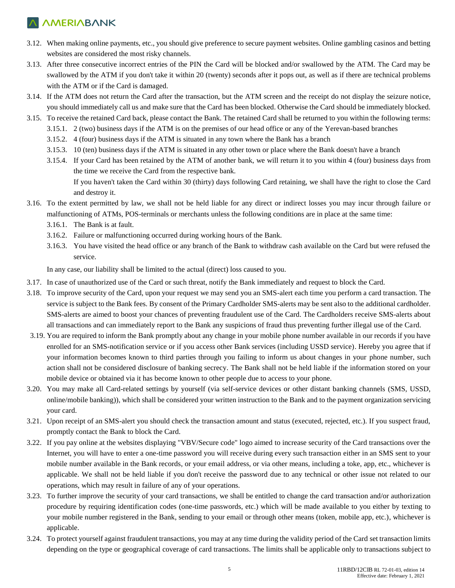- 3.12. When making online payments, etc., you should give preference to secure payment websites. Online gambling casinos and betting websites are considered the most risky channels.
- 3.13. After three consecutive incorrect entries of the PIN the Card will be blocked and/or swallowed by the ATM. The Card may be swallowed by the ATM if you don't take it within 20 (twenty) seconds after it pops out, as well as if there are technical problems with the ATM or if the Card is damaged.
- 3.14. If the ATM does not return the Card after the transaction, but the ATM screen and the receipt do not display the seizure notice, you should immediately call us and make sure that the Card has been blocked. Otherwise the Card should be immediately blocked.
- 3.15. To receive the retained Card back, please contact the Bank. The retained Card shall be returned to you within the following terms:
	- 3.15.1. 2 (two) business days if the ATM is on the premises of our head office or any of the Yerevan-based branches
	- 3.15.2. 4 (four) business days if the ATM is situated in any town where the Bank has a branch
	- 3.15.3. 10 (ten) business days if the ATM is situated in any other town or place where the Bank doesn't have a branch
	- 3.15.4. If your Card has been retained by the ATM of another bank, we will return it to you within 4 (four) business days from the time we receive the Card from the respective bank.

If you haven't taken the Card within 30 (thirty) days following Card retaining, we shall have the right to close the Card and destroy it.

- 3.16. To the extent permitted by law, we shall not be held liable for any direct or indirect losses you may incur through failure or malfunctioning of ATMs, POS-terminals or merchants unless the following conditions are in place at the same time:
	- 3.16.1. The Bank is at fault.
	- 3.16.2. Failure or malfunctioning occurred during working hours of the Bank.
	- 3.16.3. You have visited the head office or any branch of the Bank to withdraw cash available on the Card but were refused the service.

In any case, our liability shall be limited to the actual (direct) loss caused to you.

- 3.17. In case of unauthorized use of the Card or such threat, notify the Bank immediately and request to block the Card.
- 3.18. To improve security of the Card, upon your request we may send you an SMS-alert each time you perform a card transaction. The service is subject to the Bank fees. By consent of the Primary Cardholder SMS-alerts may be sent also to the additional cardholder. SMS-alerts are aimed to boost your chances of preventing fraudulent use of the Card. The Cardholders receive SMS-alerts about all transactions and can immediately report to the Bank any suspicions of fraud thus preventing further illegal use of the Card.
- 3.19. You are required to inform the Bank promptly about any change in your mobile phone number available in our records if you have enrolled for an SMS-notification service or if you access other Bank services (including USSD service). Hereby you agree that if your information becomes known to third parties through you failing to inform us about changes in your phone number, such action shall not be considered disclosure of banking secrecy. The Bank shall not be held liable if the information stored on your mobile device or obtained via it has become known to other people due to access to your phone.
- 3.20. You may make all Card-related settings by yourself (via self-service devices or other distant banking channels (SMS, USSD, online/mobile banking)), which shall be considered your written instruction to the Bank and to the payment organization servicing your card.
- 3.21. Upon receipt of an SMS-alert you should check the transaction amount and status (executed, rejected, etc.). If you suspect fraud, promptly contact the Bank to block the Card.
- 3.22. If you pay online at the websites displaying "VBV/Secure code" logo aimed to increase security of the Card transactions over the Internet, you will have to enter a one-time password you will receive during every such transaction either in an SMS sent to your mobile number available in the Bank records, or your email address, or via other means, including a toke, app, etc., whichever is applicable. We shall not be held liable if you don't receive the password due to any technical or other issue not related to our operations, which may result in failure of any of your operations.
- 3.23. To further improve the security of your card transactions, we shall be entitled to change the card transaction and/or authorization procedure by requiring identification codes (one-time passwords, etc.) which will be made available to you either by texting to your mobile number registered in the Bank, sending to your email or through other means (token, mobile app, etc.), whichever is applicable.
- 3.24. To protect yourself against fraudulent transactions, you may at any time during the validity period of the Card set transaction limits depending on the type or geographical coverage of card transactions. The limits shall be applicable only to transactions subject to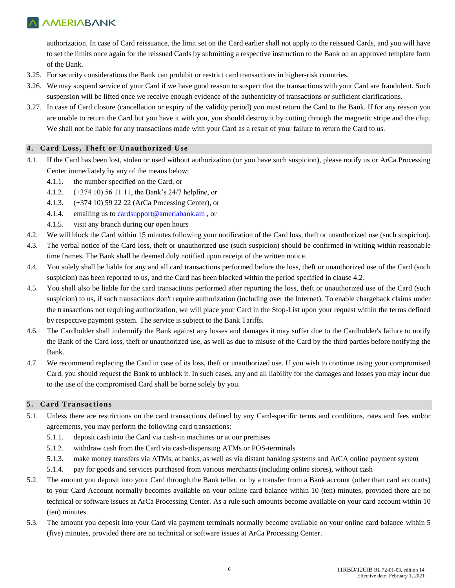authorization. In case of Card reissuance, the limit set on the Card earlier shall not apply to the reissued Cards, and you will have to set the limits once again for the reissued Cards by submitting a respective instruction to the Bank on an approved template form of the Bank.

- 3.25. For security considerations the Bank can prohibit or restrict card transactions in higher-risk countries.
- 3.26. We may suspend service of your Card if we have good reason to suspect that the transactions with your Card are fraudulent. Such suspension will be lifted once we receive enough evidence of the authenticity of transactions or sufficient clarifications.
- 3.27. In case of Card closure (cancellation or expiry of the validity period) you must return the Card to the Bank. If for any reason you are unable to return the Card but you have it with you, you should destroy it by cutting through the magnetic stripe and the chip. We shall not be liable for any transactions made with your Card as a result of your failure to return the Card to us.

### **4. Card Loss, Theft or Unauthorized Use**

- 4.1. If the Card has been lost, stolen or used without authorization (or you have such suspicion), please notify us or ArCa Processing Center immediately by any of the means below:
	- 4.1.1. the number specified on the Card, or
	- 4.1.2. (+374 10) 56 11 11, the Bank's 24/7 helpline, or
	- 4.1.3. (+374 10) 59 22 22 (ArCa Processing Center), or
	- 4.1.4. emailing us to [cardsupport@ameriabank.am](mailto:cardsupport@ameriabank.am) , or
	- 4.1.5. visit any branch during our open hours
- 4.2. We will block the Card within 15 minutes following your notification of the Card loss, theft or unauthorized use (such suspicion).
- 4.3. The verbal notice of the Card loss, theft or unauthorized use (such suspicion) should be confirmed in writing within reasonable time frames. The Bank shall be deemed duly notified upon receipt of the written notice.
- 4.4. You solely shall be liable for any and all card transactions performed before the loss, theft or unauthorized use of the Card (such suspicion) has been reported to us, and the Card has been blocked within the period specified in clause 4.2.
- 4.5. You shall also be liable for the card transactions performed after reporting the loss, theft or unauthorized use of the Card (such suspicion) to us, if such transactions don't require authorization (including over the Internet). To enable chargeback claims under the transactions not requiring authorization, we will place your Card in the Stop-List upon your request within the terms defined by respective payment system. The service is subject to the Bank Tariffs.
- 4.6. The Cardholder shall indemnify the Bank against any losses and damages it may suffer due to the Cardholder's failure to notify the Bank of the Card loss, theft or unauthorized use, as well as due to misuse of the Card by the third parties before notifying the Bank.
- 4.7. We recommend replacing the Card in case of its loss, theft or unauthorized use. If you wish to continue using your compromised Card, you should request the Bank to unblock it. In such cases, any and all liability for the damages and losses you may incur due to the use of the compromised Card shall be borne solely by you.

#### **5. Card Transactions**

- 5.1. Unless there are restrictions on the card transactions defined by any Card-specific terms and conditions, rates and fees and/or agreements, you may perform the following card transactions:
	- 5.1.1. deposit cash into the Card via cash-in machines or at our premises
	- 5.1.2. withdraw cash from the Card via cash-dispensing ATMs or POS-terminals
	- 5.1.3. make money transfers via ATMs, at banks, as well as via distant banking systems and ArCA online payment system
	- 5.1.4. pay for goods and services purchased from various merchants (including online stores), without cash
- 5.2. The amount you deposit into your Card through the Bank teller, or by a transfer from a Bank account (other than card accounts) to your Card Account normally becomes available on your online card balance within 10 (ten) minutes, provided there are no technical or software issues at ArCa Processing Center. As a rule such amounts become available on your card account within 10 (ten) minutes.
- 5.3. The amount you deposit into your Card via payment terminals normally become available on your online card balance within 5 (five) minutes, provided there are no technical or software issues at ArCa Processing Center.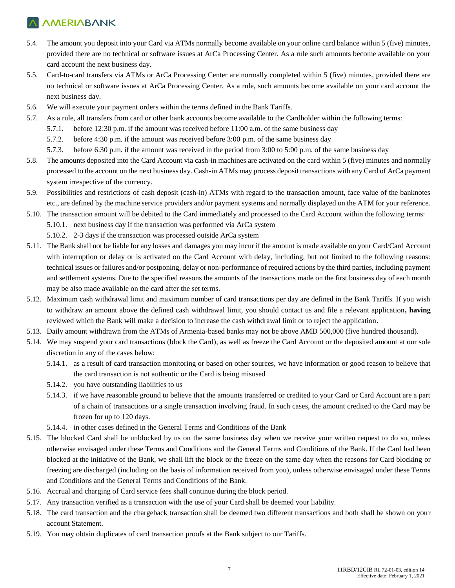- 5.4. The amount you deposit into your Card via ATMs normally become available on your online card balance within 5 (five) minutes, provided there are no technical or software issues at ArCa Processing Center. As a rule such amounts become available on your card account the next business day.
- 5.5. Card-to-card transfers via ATMs or ArCa Processing Center are normally completed within 5 (five) minutes, provided there are no technical or software issues at ArCa Processing Center. As a rule, such amounts become available on your card account the next business day.
- 5.6. We will execute your payment orders within the terms defined in the Bank Tariffs.
- 5.7. As a rule, all transfers from card or other bank accounts become available to the Cardholder within the following terms:
	- 5.7.1. before 12:30 p.m. if the amount was received before 11:00 a.m. of the same business day
	- 5.7.2. before 4:30 p.m. if the amount was received before 3:00 p.m. of the same business day
	- 5.7.3. before 6:30 p.m. if the amount was received in the period from 3:00 to 5:00 p.m. of the same business day
- 5.8. The amounts deposited into the Card Account via cash-in machines are activated on the card within 5 (five) minutes and normally processed to the account on the next business day. Cash-in ATMs may process deposit transactions with any Card of ArCa payment system irrespective of the currency.
- 5.9. Possibilities and restrictions of cash deposit (cash-in) ATMs with regard to the transaction amount, face value of the banknotes etc., are defined by the machine service providers and/or payment systems and normally displayed on the ATM for your reference.
- 5.10. The transaction amount will be debited to the Card immediately and processed to the Card Account within the following terms:
	- 5.10.1. next business day if the transaction was performed via ArCa system
	- 5.10.2. 2-3 days if the transaction was processed outside ArCa system
- 5.11. The Bank shall not be liable for any losses and damages you may incur if the amount is made available on your Card/Card Account with interruption or delay or is activated on the Card Account with delay, including, but not limited to the following reasons: technical issues or failures and/or postponing, delay or non-performance of required actions by the third parties, including payment and settlement systems. Due to the specified reasons the amounts of the transactions made on the first business day of each month may be also made available on the card after the set terms.
- 5.12. Maximum cash withdrawal limit and maximum number of card transactions per day are defined in the Bank Tariffs. If you wish to withdraw an amount above the defined cash withdrawal limit, you should contact us and file a relevant application**, having**  reviewed which the Bank will make a decision to increase the cash withdrawal limit or to reject the application.
- 5.13. Daily amount withdrawn from the ATMs of Armenia-based banks may not be above AMD 500,000 (five hundred thousand).
- 5.14. We may suspend your card transactions (block the Card), as well as freeze the Card Account or the deposited amount at our sole discretion in any of the cases below:
	- 5.14.1. as a result of card transaction monitoring or based on other sources, we have information or good reason to believe that the card transaction is not authentic or the Card is being misused
	- 5.14.2. you have outstanding liabilities to us
	- 5.14.3. if we have reasonable ground to believe that the amounts transferred or credited to your Card or Card Account are a part of a chain of transactions or a single transaction involving fraud. In such cases, the amount credited to the Card may be frozen for up to 120 days.
	- 5.14.4. in other cases defined in the General Terms and Conditions of the Bank
- 5.15. The blocked Card shall be unblocked by us on the same business day when we receive your written request to do so, unless otherwise envisaged under these Terms and Conditions and the General Terms and Conditions of the Bank. If the Card had been blocked at the initiative of the Bank, we shall lift the block or the freeze on the same day when the reasons for Card blocking or freezing are discharged (including on the basis of information received from you), unless otherwise envisaged under these Terms and Conditions and the General Terms and Conditions of the Bank.
- 5.16. Accrual and charging of Card service fees shall continue during the block period.
- 5.17. Any transaction verified as a transaction with the use of your Card shall be deemed your liability.
- 5.18. The card transaction and the chargeback transaction shall be deemed two different transactions and both shall be shown on your account Statement.
- 5.19. You may obtain duplicates of card transaction proofs at the Bank subject to our Tariffs.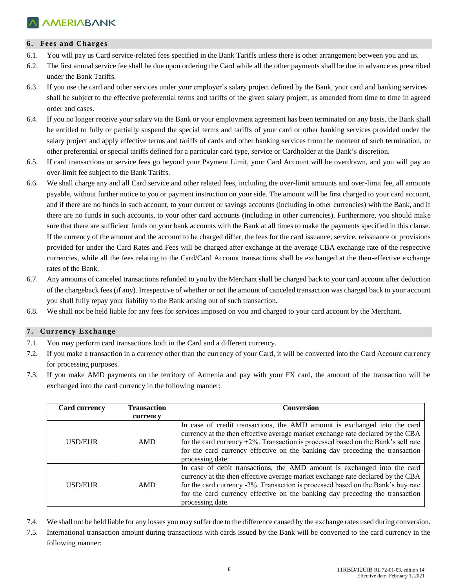#### **6. Fees and Charges**

- 6.1. You will pay us Card service-related fees specified in the Bank Tariffs unless there is other arrangement between you and us.
- 6.2. The first annual service fee shall be due upon ordering the Card while all the other payments shall be due in advance as prescribed under the Bank Tariffs.
- 6.3. If you use the card and other services under your employer's salary project defined by the Bank, your card and banking services shall be subject to the effective preferential terms and tariffs of the given salary project, as amended from time to time in agreed order and cases.
- 6.4. If you no longer receive your salary via the Bank or your employment agreement has been terminated on any basis, the Bank shall be entitled to fully or partially suspend the special terms and tariffs of your card or other banking services provided under the salary project and apply effective terms and tariffs of cards and other banking services from the moment of such termination, or other preferential or special tariffs defined for a particular card type, service or Cardholder at the Bank's discretion.
- 6.5. If card transactions or service fees go beyond your Payment Limit, your Card Account will be overdrawn, and you will pay an over-limit fee subject to the Bank Tariffs.
- 6.6. We shall charge any and all Card service and other related fees, including the over-limit amounts and over-limit fee, all amounts payable, without further notice to you or payment instruction on your side. The amount will be first charged to your card account, and if there are no funds in such account, to your current or savings accounts (including in other currencies) with the Bank, and if there are no funds in such accounts, to your other card accounts (including in other currencies). Furthermore, you should make sure that there are sufficient funds on your bank accounts with the Bank at all times to make the payments specified in this clause. If the currency of the amount and the account to be charged differ, the fees for the card issuance, service, reissuance or provisions provided for under the Card Rates and Fees will be charged after exchange at the average CBA exchange rate of the respective currencies, while all the fees relating to the Card/Card Account transactions shall be exchanged at the then-effective exchange rates of the Bank.
- 6.7. Any amounts of canceled transactions refunded to you by the Merchant shall be charged back to your card account after deduction of the chargeback fees (if any). Irrespective of whether or not the amount of canceled transaction was charged back to your account you shall fully repay your liability to the Bank arising out of such transaction.
- 6.8. We shall not be held liable for any fees for services imposed on you and charged to your card account by the Merchant.

### **7. Currency Exchange**

- 7.1. You may perform card transactions both in the Card and a different currency.
- 7.2. If you make a transaction in a currency other than the currency of your Card, it will be converted into the Card Account currency for processing purposes.
- 7.3. If you make AMD payments on the territory of Armenia and pay with your FX card, the amount of the transaction will be exchanged into the card currency in the following manner:

| <b>Card currency</b> | <b>Transaction</b> | <b>Conversion</b>                                                                                                                                                                                                                                                                                                                                         |
|----------------------|--------------------|-----------------------------------------------------------------------------------------------------------------------------------------------------------------------------------------------------------------------------------------------------------------------------------------------------------------------------------------------------------|
|                      | currency           |                                                                                                                                                                                                                                                                                                                                                           |
| USD/EUR              | AMD                | In case of credit transactions, the AMD amount is exchanged into the card<br>currency at the then effective average market exchange rate declared by the CBA<br>for the card currency $+2\%$ . Transaction is processed based on the Bank's sell rate<br>for the card currency effective on the banking day preceding the transaction<br>processing date. |
| USD/EUR              | AMD                | In case of debit transactions, the AMD amount is exchanged into the card<br>currency at the then effective average market exchange rate declared by the CBA<br>for the card currency -2%. Transaction is processed based on the Bank's buy rate<br>for the card currency effective on the banking day preceding the transaction<br>processing date.       |

- 7.4. We shall not be held liable for any losses you may suffer due to the difference caused by the exchange rates used during conversion.
- 7.5. International transaction amount during transactions with cards issued by the Bank will be converted to the card currency in the following manner: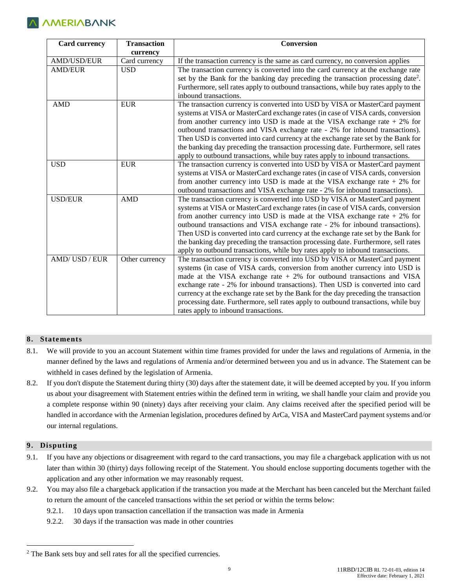| <b>Card currency</b> | <b>Transaction</b> | Conversion                                                                                                                                                                                                                                                                                                                                                                                                                                                                                                                                                                                  |
|----------------------|--------------------|---------------------------------------------------------------------------------------------------------------------------------------------------------------------------------------------------------------------------------------------------------------------------------------------------------------------------------------------------------------------------------------------------------------------------------------------------------------------------------------------------------------------------------------------------------------------------------------------|
|                      | currency           |                                                                                                                                                                                                                                                                                                                                                                                                                                                                                                                                                                                             |
| <b>AMD/USD/EUR</b>   | Card currency      | If the transaction currency is the same as card currency, no conversion applies                                                                                                                                                                                                                                                                                                                                                                                                                                                                                                             |
| <b>AMD/EUR</b>       | <b>USD</b>         | The transaction currency is converted into the card currency at the exchange rate<br>set by the Bank for the banking day preceding the transaction processing date <sup>2</sup> .<br>Furthermore, sell rates apply to outbound transactions, while buy rates apply to the<br>inbound transactions.                                                                                                                                                                                                                                                                                          |
| <b>AMD</b>           | <b>EUR</b>         | The transaction currency is converted into USD by VISA or MasterCard payment<br>systems at VISA or MasterCard exchange rates (in case of VISA cards, conversion<br>from another currency into USD is made at the VISA exchange rate $+2\%$ for<br>outbound transactions and VISA exchange rate - 2% for inbound transactions).<br>Then USD is converted into card currency at the exchange rate set by the Bank for<br>the banking day preceding the transaction processing date. Furthermore, sell rates<br>apply to outbound transactions, while buy rates apply to inbound transactions. |
| <b>USD</b>           | <b>EUR</b>         | The transaction currency is converted into USD by VISA or MasterCard payment<br>systems at VISA or MasterCard exchange rates (in case of VISA cards, conversion<br>from another currency into USD is made at the VISA exchange rate $+2\%$ for<br>outbound transactions and VISA exchange rate - 2% for inbound transactions).                                                                                                                                                                                                                                                              |
| <b>USD/EUR</b>       | <b>AMD</b>         | The transaction currency is converted into USD by VISA or MasterCard payment<br>systems at VISA or MasterCard exchange rates (in case of VISA cards, conversion<br>from another currency into USD is made at the VISA exchange rate $+2\%$ for<br>outbound transactions and VISA exchange rate - 2% for inbound transactions).<br>Then USD is converted into card currency at the exchange rate set by the Bank for<br>the banking day preceding the transaction processing date. Furthermore, sell rates<br>apply to outbound transactions, while buy rates apply to inbound transactions. |
| AMD/USD/EUR          | Other currency     | The transaction currency is converted into USD by VISA or MasterCard payment<br>systems (in case of VISA cards, conversion from another currency into USD is<br>made at the VISA exchange rate $+2\%$ for outbound transactions and VISA<br>exchange rate - 2% for inbound transactions). Then USD is converted into card<br>currency at the exchange rate set by the Bank for the day preceding the transaction<br>processing date. Furthermore, sell rates apply to outbound transactions, while buy<br>rates apply to inbound transactions.                                              |

#### **8. Statements**

- 8.1. We will provide to you an account Statement within time frames provided for under the laws and regulations of Armenia, in the manner defined by the laws and regulations of Armenia and/or determined between you and us in advance. The Statement can be withheld in cases defined by the legislation of Armenia.
- 8.2. If you don't dispute the Statement during thirty (30) days after the statement date, it will be deemed accepted by you. If you inform us about your disagreement with Statement entries within the defined term in writing, we shall handle your claim and provide you a complete response within 90 (ninety) days after receiving your claim. Any claims received after the specified period will be handled in accordance with the Armenian legislation, procedures defined by ArCa, VISA and MasterCard payment systems and/or our internal regulations.

### **9. Disputing**

 $\overline{a}$ 

- 9.1. If you have any objections or disagreement with regard to the card transactions, you may file a chargeback application with us not later than within 30 (thirty) days following receipt of the Statement. You should enclose supporting documents together with the application and any other information we may reasonably request.
- 9.2. You may also file a chargeback application if the transaction you made at the Merchant has been canceled but the Merchant failed to return the amount of the canceled transactions within the set period or within the terms below:
	- 9.2.1. 10 days upon transaction cancellation if the transaction was made in Armenia
	- 9.2.2. 30 days if the transaction was made in other countries

<sup>&</sup>lt;sup>2</sup> The Bank sets buy and sell rates for all the specified currencies.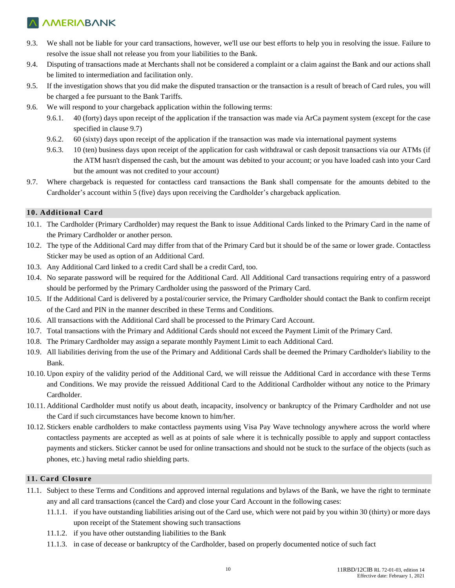- 9.3. We shall not be liable for your card transactions, however, we'll use our best efforts to help you in resolving the issue. Failure to resolve the issue shall not release you from your liabilities to the Bank.
- 9.4. Disputing of transactions made at Merchants shall not be considered a complaint or a claim against the Bank and our actions shall be limited to intermediation and facilitation only.
- 9.5. If the investigation shows that you did make the disputed transaction or the transaction is a result of breach of Card rules, you will be charged a fee pursuant to the Bank Tariffs.
- 9.6. We will respond to your chargeback application within the following terms:
	- 9.6.1. 40 (forty) days upon receipt of the application if the transaction was made via ArCa payment system (except for the case specified in clause 9.7)
	- 9.6.2. 60 (sixty) days upon receipt of the application if the transaction was made via international payment systems
	- 9.6.3. 10 (ten) business days upon receipt of the application for cash withdrawal or cash deposit transactions via our ATMs (if the ATM hasn't dispensed the cash, but the amount was debited to your account; or you have loaded cash into your Card but the amount was not credited to your account)
- 9.7. Where chargeback is requested for contactless card transactions the Bank shall compensate for the amounts debited to the Cardholder's account within 5 (five) days upon receiving the Cardholder's chargeback application.

### **10. Additional Card**

- 10.1. The Cardholder (Primary Cardholder) may request the Bank to issue Additional Cards linked to the Primary Card in the name of the Primary Cardholder or another person.
- 10.2. The type of the Additional Card may differ from that of the Primary Card but it should be of the same or lower grade. Contactless Sticker may be used as option of an Additional Card.
- 10.3. Any Additional Card linked to a credit Card shall be a credit Card, too.
- 10.4. No separate password will be required for the Additional Card. All Additional Card transactions requiring entry of a password should be performed by the Primary Cardholder using the password of the Primary Card.
- 10.5. If the Additional Card is delivered by a postal/courier service, the Primary Cardholder should contact the Bank to confirm receipt of the Card and PIN in the manner described in these Terms and Conditions.
- 10.6. All transactions with the Additional Card shall be processed to the Primary Card Account.
- 10.7. Total transactions with the Primary and Additional Cards should not exceed the Payment Limit of the Primary Card.
- 10.8. The Primary Cardholder may assign a separate monthly Payment Limit to each Additional Card.
- 10.9. All liabilities deriving from the use of the Primary and Additional Cards shall be deemed the Primary Cardholder's liability to the Bank.
- 10.10. Upon expiry of the validity period of the Additional Card, we will reissue the Additional Card in accordance with these Terms and Conditions. We may provide the reissued Additional Card to the Additional Cardholder without any notice to the Primary Cardholder.
- 10.11. Additional Cardholder must notify us about death, incapacity, insolvency or bankruptcy of the Primary Cardholder and not use the Card if such circumstances have become known to him/her.
- 10.12. Stickers enable cardholders to make contactless payments using Visa Pay Wave technology anywhere across the world where contactless payments are accepted as well as at points of sale where it is technically possible to apply and support contactless payments and stickers. Sticker cannot be used for online transactions and should not be stuck to the surface of the objects (such as phones, etc.) having metal radio shielding parts.

### **11. Card Closure**

- 11.1. Subject to these Terms and Conditions and approved internal regulations and bylaws of the Bank, we have the right to terminate any and all card transactions (cancel the Card) and close your Card Account in the following cases:
	- 11.1.1. if you have outstanding liabilities arising out of the Card use, which were not paid by you within 30 (thirty) or more days upon receipt of the Statement showing such transactions
	- 11.1.2. if you have other outstanding liabilities to the Bank
	- 11.1.3. in case of decease or bankruptcy of the Cardholder, based on properly documented notice of such fact